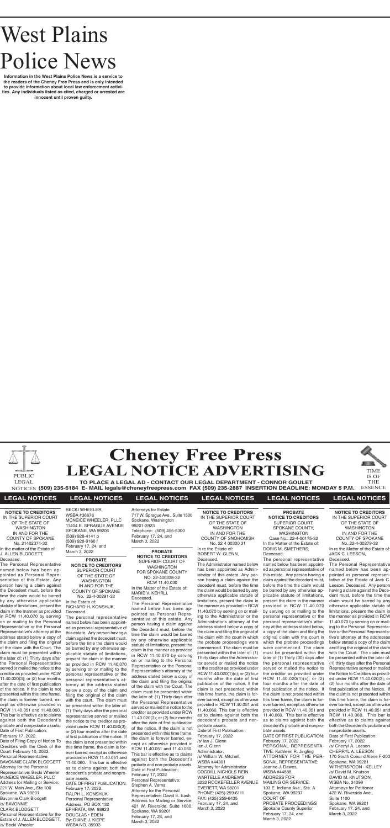

**(509) 235-6184 E- MAIL legals@cheneyfreepress.com FAX (509) 235-2887 INSERTION DEADLINE: MONDAY 5 P.M.** NOTICES ESSENCE



# **LEGAL NOTICES LEGAL NOTICES LEGAL NOTICES LEGAL NOTICES LEGAL NOTICES LEGAL NOTICES**

# West Plains Police News

**Information in the West Plains Police News is a service to the readers of the Cheney Free Press and is only intended to provide information about local law enforcement activities. Any individuals listed as cited, charged or arrested are innocent until proven guilty.**

> **PROBATE NOTICE TO CREDITORS** SUPERIOR COURT OF THE STATE OF WASHINGTON IN AND FOR THE COUNTY OF SPOKANE No. 22-4-00291-32 In the Estate of: RICHARD H. KONSHUK,

Deceased. The personal representative named below has been appointed as personal representative of this estate. Any person having a claim against the decedent must, before the time the claim would be barred by any otherwise applicable statute of limitations, present the claim in the manner as provided in RCW 11.40.070 by serving on or mailing to the personal representative or the personal representative's atorney at the address stated below a copy of the claim and filing the original of the claim with the court. The claim must be presented within the later of: (1) Thirty days after the personal representative served or mailed the notice to the creditor as provided under RCW 11.40.020(3); or (2) four months after the date of first publication of the notice. If the claim is not presented within this time frame, the claim is forever barred, except as otherwise provided in RCW 11.40.051 and 11.40.060. This bar is effective as to claims against both the decedent's probate and nonprobate assets. DATE OF FIRST PUBLICATION: February 17, 2022. RALPH L. KONSHUK

Personal Representative Address: PO BOX 132 EPHRATA, WA 98823 DOUGLAS • EDEN By: DIANE J. KIEPE WSBA NO. 35933

**PROBATE NOTICE TO CREDITORS** SUPERIOR COURT OF WASHINGTON FOR SPOKANE COUNTY NO. 22-400338-32 RCW 11.40.030 In the Matter of the Estate of: MARIE V. KEHRLI Deceased.

The Personal Representative named below has been appointed as Personal Representative of this estate. Any person having a claim against the Decedent must, before the time the claim would be barred by any otherwise applicable statute of limitations, present the claim in the manner as provided in RCW 11.40.070 by serving on or mailing to the Personal Representative or the Personal Representative's attorney at the address stated below a copy of the claim and filing the original of the claim with the Court. The claim must be presented within the later of: (1) Thirty days after the Personal Representative served or mailed the notice to the creditor as provided under RCW 11.40.020(3); or (2) four months after the date of first publication of the notice. If the claim is not presented within this time frame, the claim is forever barred, except as otherwise provided in RCW 11.40.051 and 11.40.060. This bar is effective as to claims against both the Decedent's probate and non-probate assets. Date of First Publication: February 17, 2022 Personal Representative: Stephen A. Verna Attorney for the Personal Representative: David E. Eash Address for Mailing or Service: 421 W. Riverside, Suite 1600, Spokane, WA 99201 February 17, 24, and March 3, 2022

**NOTICE TO CREDITORS** IN THE SUPERIOR COURT OF THE STATE OF WASHINGTON IN AND FOR THE COUNTY OF SPOKANE No. 22-4-00279-32 In re the Matter of the Estate of: JACK C. LEESON, Deceased.

The Personal Representative named below has been appointed as personal representative of the Estate of Jack C. Leeson, Deceased. Any person having a claim against the Decedent must, before the time the claim would be barred by any otherwise applicable statute of limitations, present the claim in the manner as provided in RCW 11.40.070 by serving on or mailing to the Personal Representative or the Personal Representative's attorney at the addresses below stated a copy of the claim and filing the original of the claim with the Court. The claim must be presented within the later of: (1) thirty days after the Personal Representative served or mailed the Notice to Creditors as provided under RCW 11.40.020(3); or (2) four months after the date of first publication of the Notice. If the claim is not presented within this time frame, the claim is forever barred, except as otherwise provided in RCW 11.40.051 and RCW 11.40.060. This bar is effective as to claims against both the Decedent's probate and nonprobate assets. Date of First Publication: February 17, 2022 /s/ Cherryl A. Leeson CHERRYL A. LEESON 170 South Coeur d'Alene F-203 Spokane, WA 99201 WITHERSPOON · KELLEY /s/ David M. Knutson DAVID M. KNUTSON, WSBA No. 24099 Attorneys for Petitioner 422 W. Riverside Ave., Suite 1100 Spokane, WA 99201 February 17, 24, and March 3, 2022

**NOTICE TO CREDITORS** IN THE SUPERIOR COURT OF THE STATE OF WASHINGTON IN AND FOR THE COUNTY OF SNOHOMISH No. 22 4 00300 31 In re the Estate of: ROBERT W. GLENN,

## Deceased.

The Administrator named below has been appointed as Administrator of this estate. Any person having a claim against the decedent must, before the time the claim would be barred by any otherwise applicable statute of limitations, present the claim in the manner as provided in RCW 11.40.070 by serving on or mailing to the Administrator or the Administrator's attorney at the address stated below a copy of the claim and filing the original of the claim with the court in which the probate proceedings were commenced. The claim must be presented within the later of: (1) Thirty days after the Administrator served or mailed the notice to the creditor as provided under RCW 11.40.020(1)(c); or (2) four months after the date of first publication of the notice. If the claim is not presented within this time frame, the claim is forever barred, except as otherwise provided in RCW 11.40.051 and 11.40.060. This bar is effective

as to claims against both the decedent's probate and nonprobate assets. Date of First Publication: February 17, 2022 /s/ Ian J. Glenn Ian J. Glenn Administrator: /s/ William W. Mitchell, WSBA #44301 Attorney for Administrator COGDILL NICHOLS REIN WARTELLE ANDREWS 3232 ROCKEFELLER AVENUE EVERETT, WA 98201 PHONE: (425) 259-6111 FAX: (425) 259-6435 February 17, 24, and March 3, 2020

**PROBATE NOTICE TO CREDITORS** SUPERIOR COURT, SPOKANE COUNTY, WASHINGTON Case No.: 22-4-00175-32 In the Matter of the Estate of: DORIS M. SMETHERS, Deceased. The personal representative

named below has been appointed as personal representative of this estate. Any person having a claim against the decedent must, before the time the claim would be barred by any otherwise applicable statute of limitations, present the claim in the manner provided in RCW 11.40.070 by serving on or mailing to the personal representative or the personal representative's attorney at the address stated below, a copy of the claim and filing the original claim with the court in which the probate proceedings were commenced. The claim must be presented within the later of (1) Thirty (30) days after the personal representative served or mailed the notice to the creditor as provided under RCW 11.40.020(1)(c); or (2) four months after the date of first publication of the notice. If the claim is not presented within this time frame, the claim is forever barred, except as otherwise provided in RCW 11.40.051 and 11.40.060. This bar is effective as to claims against both the decedent's probate and nonprobate assets. DATE OF FIRST PUBLICATION: February 17, 2022 PERSONAL REPRESENTA-TIVE: Kathleen R. Jingling ATTORNEY FOR THE PER-SONAL REPRESENTATIVE: Jeanne J. Dawes, WSBA #44888 ADDRESS FOR MAILING OR SERVICE: 103 E. Indiana Ave., Ste. A Spokane, WA 99207 COURT OF PROBATE PROCEEDINGS Spokane County Superior

February 17, 24, and March 3, 2022

**NOTICE TO CREDITORS** IN THE SUPERIOR COURT OF THE STATE OF WASHINGTON IN AND FOR THE COUNTY OF SPOKANE No. 21402374-32 In the matter of the Estate of J. ALLEN BLODGETT, Deceased.

The Personal Representative named below has been appointed as Personal Representative of this Estate. Any person having a claim against the Decedent must, before the time the claim would be barred by any otherwise applicable statute of limitations, present the claim in the manner as provided in RCW 11.40.070 by serving on or mailing to the Personal Representative or the Personal Representative's attorney at the address stated below a copy of the claim and filing the original of the claim with the Court. The claim must be presented within the later of: (1) Thirty days after the Personal Representative served or mailed the notice to the creditor as provided under RCW 11.40.020(3); or (2) four months after the date of first publication of the notice. If the claim is not presented within this time frame, the claim is forever barred, except as otherwise provided in RCW 11.40.051 and 11.40.060. This bar is effective as to claims against both the Decedent's probate and nonprobate assets. Date of First Publication:

February 17, 2022. Date of Filing Copy of Notice To Creditors with the Clerk of the Court: February 10, 2022. Personal Representative: BAVONNIE CLARK BLODGETT Attorney for the Personal Representative: Becki Wheeler McNEICE WHEELER, PLLC Address for Mailing or Service: 221 W. Main Ave., Ste 100 Spokane, WA 99201 Bavonnie Clark Blodgett /s/ BAVONNIE CLARK BLODGETT Personal Representative for the Estate of J. ALLEN BLODGETT, /s/ Becki Wheeler

| <b>BECKI WHEELER,</b>        |
|------------------------------|
| WSBA #36676                  |
| <b>MCNEICE WHEELER, PLLC</b> |
| 11404 E. SPRAGUE AVENUE      |
| SPOKANE, WA 99206            |
| (509) 928-4141 p             |
| (509) 928-9166 f             |
| February 17, 24, and         |
| March 3, 2022                |
|                              |

Attorneys for Estate 717 W. Sprague Ave., Suite 1500 Spokane, Washington 99201-3923 Telephone: (509) 455-5300 February 17, 24, and March 3, 2022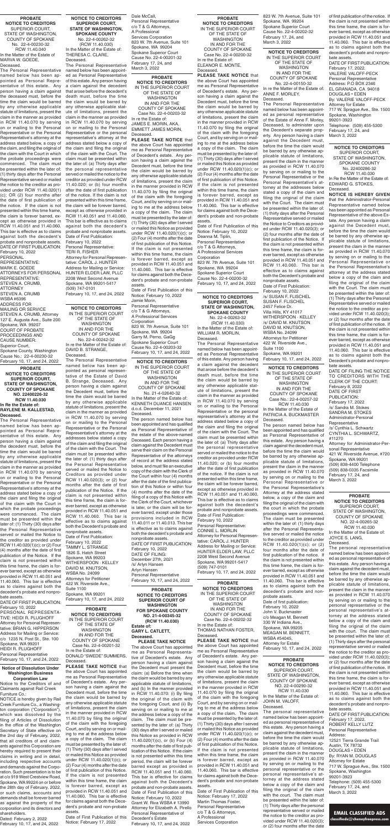# **EMAIL CLASSIFIED ADS**

**classifieds@cheneyfreepress.com**

**PROBATE NOTICE TO CREDITORS SUPERIOR COURT OF WASHINGTON FOR SPOKANE COUNTY NO. 21-4-00345-32 (RCW 11.40.030) Estate of: GARY L. CATLETT, Deceased. PLEASE TAKE NOTICE**

The above Court has appointed me as Personal Representative of Decedent's estate. Any person having a claim against the Decedent must present the claim: (a) Before the time when the claim would be barred by any applicable statute of limitations, and (b) In the manner provided in RCW 11.40.070: (i) By filing the original of the claim with the foregoing Court, and (ii) By serving on or mailing to me at the address below a copy of the claim. The claim must be presented by the later of: (a) Thirty (30) days after I served or mailed this Notice as provided in RCW 11.40.020(1)(c), or (b) Four (4) months after the date of first publication of this Notice. If the claim is not presented within this time period, the claim will be forever barred except as provided in RCW 11.40.051 and 11.40.060. This bar is effective for claims against both the Decedent's probate and non-probate assets. Date of First Publication of this Notice: February 10, 2022 Grant W. Riva WSBA # 13990 Attorney for Elizabeth A. Pirello Personal Representative of Decedent's Estate February 10, 17, and 24, 2022

**PROBATE NOTICE TO CREDITORS**  IN THE SUPERIOR COURT OF THE STATE OF WASHINGTON IN AND FOR THE COUNTY OF SPOKANE Case No. 22-4-00200-32 In re the Estate of: ELEANOR E. MONTE, Deceased. **PLEASE TAKE NOTICE** that

the above Court has appointed me as Personal Representative of Decedent's estate. Any person having a claim against the Decedent must, before the time the claim would be barred by any otherwise applicable statute of limitations, present the claim in the manner provided in RCW 11.40.070 by filing the original of the claim with the foregoing Court, and by serving on or mailing to me at the address below a copy of the claim. The claim must be presented by the later of: (1) Thirty (30) days after I served or mailed this Notice as provided under RCW 11.40.020(1)(c); or (2) Four (4) months after the date of first publication of this Notice. If the claim is not presented within this time frame, the claim is forever barred, except as provided in RCW 11.40.051 and 11.40.060. This bar is effective for claims against both the Decedent's probate and non-probate assets.

Date of First Publication of this Notice: February 10, 2022 Deanna M. Tiplin, Personal Representative c/o T & G Attorneys, A Professional Services Corporation 823 W. 7th Avenue, Suite 101 Spokane, WA 99204 Spokane Superior Court Cause No. 22-4-00200-32 February 10, 17, and 24, 2022

**PROBATE NOTICE TO CREDITORS**  IN THE SUPERIOR COURT OF THE STATE OF WASHINGTON IN AND FOR THE COUNTY OF SPOKANE Case No. 22-4-00203-32 In re the Estate of: JAMES E. MORIN, AKA, EMMETT JAMES MORIN, Deceased.

**PLEASE TAKE NOTICE** that the above Court has appointed me as Personal Representative of Decedent's estate. Any person having a claim against the Decedent must, before the time the claim would be barred by any otherwise applicable statute of limitations, present the claim in the manner provided in RCW 11.40.070 by filing the original of the claim with the foregoing Court, and by serving on or mailing to me at the address below a copy of the claim. The claim must be presented by the later of: (1) Thirty (30) days after I served or mailed this Notice as provided under RCW 11.40.020(1)(c); or (2) Four (4) months after the date of first publication of this Notice. If the claim is not presented within this time frame, the claim is forever barred, except as provided in RCW 11.40.051 and 11.40.060. This bar is effective for claims against both the Decedent's probate and non-probate assets. Date of First Publication of this Notice: February 10, 2022

Jamie Morin, Personal Representative c/o T & G Attorneys, A Professional Services **Corporation** 823 W. 7th Avenue, Suite 101 Spokane, WA 99204 Garry M. Perno, GaGg Spokane Superior Court Cause No. 22-4-00203-32 February 10, 17, and 24, 2022

### **Notice of Dissolution Under Washington Business Corporation Law**

Notice to the Creditors of and Claimants against Rail Creek Furniture Co.:

NOTICE is hereby given by Rail Creek Furniture Co., a Washington corporation ("Corporation"), which was dissolved by the filing of Articles of Dissolution in the office of the Washington Secretary of State effective on the 2nd day of February, 2022, that all creditors of and claimants against this Corporation are hereby required to present their claims in writing and in detail, including respective accounts and demands against the Corporation. Such presentation is to be at c/o 919 West Crestview Road, Spokane, WA 99224 on or before the 28th day of February, 2022, or such claims, accounts and demands shall be forever barred as against the property of the corporation and its directors and shareholders.

Dated: February 2, 2022 February 10, 17, and 24, 2022

**NOTICE TO CREDITORS** IN THE SUPERIOR COURT OF THE STATE OF WASHINGTON IN AND FOR THE COUNTY OF SPOKANE No. 21-4-02640-32 In the Matter of the Estate of: KENNETH DUANCE HANSEN

d.o.d. December 11, 2021 Deceased.

The person named below has been appointed and has qualified as Personal Representative of the estate of the above-named Deceased. Each person having a claim against the Decedent must serve their claim on the Personal Representative of the attorneys of record at the address stated below, and must file an executive copy of the claim with the Clerk of the Court within four (4) months after the date of the first publicaion of this Notice or within four (4) months after the date of the filing of a copy of this Notice with the Clerk of the Court, whichever is later, or the claim will be forever barred, except under those provisions included in RCW 11.40.011 or 11.40.013. This bar is effective as to claims against both the decedent's probate and nonprobate assets. DATE OF FIRST PUBLICATION: February 10, 2022 DATE OF FILING: December 27th, 2021 /s/ Arlyn Hansen Arlyn Hansen Personal Representative February 10, 17, and 24, 2022

**NOTICE TO CREDITORS** IN THE SUPERIOR COURT OF THE STATE OF WASHINGTON IN AND FOR THE COUNTY OF SPOKANE No. 22-4-00242-32 In re the Matter of the Estate of: DAVID B. STRANGE,

Deceased. The Personal Representative named below has been appointed as personal representative of the Estate of David B. Strange, Deceased. Any person having a claim against the Decedent must, before the time the claim would be barred by any otherwise applicable statute of limitations, present the claim in the manner as provided in RCW 11.40.070 by serving on or mailing to the Personal Representative or the Personal Representative's attorney at the addresses below stated a copy of the claim and filing the original of the claim with the Court. The claim must be presented within the later of: (1) thirty days after the Personal Representative served or mailed the Notice to Creditors as provided under RCW 11.40.020(3); or (2) four months after the date of first publication of the Notice. If the claim is not presented within this time frame, the claim is forever barred, except as otherwise provided in RCW 11.40.051 and RCW 11.40.060. This bar is effective as to claims against both the Decedent's probate and nonprobate assets. Date of First Publication: February 10, 2022 TAMMY L. STRANGE 1826 S. Hatch Street Spokane, WA 99203 WITHERSPOON · KELLEY DAVID M. KNUTSON, WSBA No. 24099 Attorneys for Petitioner 422 W. Riverside Ave., Suite 1100 Spokane, WA 99201

February 10, 17, and 24, 2022

**NOTICE TO CREDITORS** IN THE SUPERIOR COURT OF THE STATE OF WASHINGTON IN AND FOR THE COUNTY OF SPOKANE No. 22-4-00150-32

In re the Matter of the Estate of: ANNE F. MORLEY, Deceased.

The Personal Representative named below has been appointed as personal representative of the Estate of Anne F. Morley, Deceased, to administer upon the Decedent's separate property. Any person having a claim against the Decedent must, before the time the claim would be barred by any otherwise applicable statute of limitations, present the claim in the manner as provided in RCW 11.40.070 by serving on or mailing to the Personal Representative or the Personal Representative's attorney at the addresses below stated a copy of the claim and filing the original of the claim with the Court. The claim must be presented within the later of: (1) thirty days after the Personal Representative served or mailed the Notice to Creditors as provided under RCW 11.40.020(3); or (2) four months after the date of first publication of the Notice. If the claim is not presented within this time frame, the claim is forever barred, except as otherwise provided in RCW 11.40.051 and RCW 11.40.060. This bar is effective as to claims against both the Decedent's probate and nonprobate assets. Date of First Publication: February 10, 2022 /s/ SUSAN F. FLISCHEL SUSAN F. FLISCHEL 2457 Felice Dr. Villa Hills, KY 41017 WITHERSPOON · KELLEY /s/ DAVID M. KNUTSON DAVID M. KNUTSON, WSBA No. 24099 Attorneys for Petitioner 422 W. Riverside Ave., Suite 1100 Spokane, WA 99201 February 10, 17, and 24, 2022

**NOTICE TO CREDITORS** IN THE SUPERIOR COURT OF THE STATE OF WASHINGTON IN AND FOR THE COUNTY OF SPOKANE Case No.: 22-4-00257-32 RCW 11.40.030 In the Matter of the Estate of PATRICIA A. BUCKMASTER

**NOTICE TO CREDITORS SUPERIOR COURT, STATE OF WASHINGTON, SPOKANE COUNTY** No. 22-4-00262-32 (RCW 11.40.030) In the Matter of the Estate of: THERESA C. CLARE, Deceased.

> **Deceased NOTICE IS HEREBY GIVEN**  that the Administrator-Personal Representative named below has been appointed as Personal Representative of the above Estate. Any person having a claim against the Decedent must, before the time the claim would be barred by any otherwise applicable statute of limitations, present the claim in the manner as provided in RCW 11.40.070 by serving on or mailing to the Personal Representative or the Personal Representative's attorney at the address stated below a copy of the claim and filing the original of the claim with the Court. The claim must be presented within the later of: (1) Thirty days after the Personal Representative served or mailed the notice to the creditor as provided under RCW 11.40.020(3); or (2) four months after the date of first publication of the notice. If the claim is not presented within this time frame, the claim is forever barred, except as otherwise provided in RCW 11.40.051 and 11.40.060. This bar is effective as to claims against both the Decedent's probate and nonprobate assets.

The Personal Representative named below has been appointed as Personal Representative of this estate. Any person having a claim against the decedent that arose before the decedent's death must, before the time the claim would be barred by any otherwise applicable statute of limitations, present the claim in the manner as provided in RCW 11.40.070 by serving on or mailing to the Personal Representative or the personal representative's attorney at the address stated below a copy of the claim and filing the original of the claim with the Court. The claim must be presented within the later of: (a) Thirty days after the personal representative served or mailed the notice to the creditor as provided under RCW 11.40.020; or (b) four months after the date of first publication of the notice. If the claim is not presented within this time frame, the claim will be forever barred, except as otherwise provided in RCW 11.40.051 and 11.40.060. This bar is effective as to claims against both the decedent's probate and nonprobate assets. Date of First Publication: February 10, 2022 Personal Representative: TERI R. FISHER Attorney for Personal Representative: CAROL J. HUNTER Address for Mailing or Service: HUNTER ELDER LAW, PLLC 2208 West Second Avenue Spokane, WA 99201-5417 (509) 747-0101 February 10, 17, and 24, 2022

Dale McCall, Personal Representative c/o T & G Attorneys, A Professional Services Corporation 823 W. 7th Avenue, Suite 101 Spokane, WA 99204 Spokane Superior Court Cause No. 22-4-00201-32 February 17, 24, and March 3, 2022

**PROBATE NOTICE TO CREDITORS** SUPERIOR COURT, STATE OF WASHINGTON, COUNTY OF SPOKANE No. 22-4-00230-32 RCW 11.40.040 In the Matter of the Estate of MARVA W. GOEDE, Deceased.

The Personal Representative named below has been appointed as Personal Representative of this estate. Any person having a claim against the deceased must, before the time the claim would be barred by any otherwise applicable statute of limitations, present the claim in the manner as provided in RCW 11.40.070 by serving on or mailing to the Personal Representative or the Personal Representative's attorney at the address stated below, a copy of the claim, and filing the original of the claim with the Court in which the probate proceedings were commenced. The claim must be presented within the later of: (1) thirty days after the Personal Representative served or mailed the notice to the creditor as provided under RCW 11.40.020(1) (c); OR (2) four months after the date of first publication of the notice. If the claim is not presented within this time frame, the claim is forever barred, except as otherwise provided in RCW 11.40.051 and 11.40.060. This bar is effective as to claims against both the decedent's probate and nonprobate assets. DATE OF FIRST PUBLICATION: February 10, 2022 **PERSONAL** REPRESENTATIVE:

MARK E. GOEDE ATTORNEYS FOR PERSONAL REPRESENTATIVE: STEVEN A. CRUMB, ATTORNEY STEVEN A. CRUMB WSBA #6396 ADDRESS FOR MAILING OR SERVICE STEVEN A. CRUMB, Attorney 127 E. Augusta Ave., Suite 200 Spokane, WA 99207 COURT OF PROBATE PROCEEDINGS AND CAUSE NUMBER: Superior Court, Spokane County, Washington Cause No.: 22-4-00230-32 February 10, 17, and 24, 2022

**PROBATE NOTICE TO CREDITORS SUPERIOR COURT, STATE OF WASHINGTON, COUNTY OF SPOKANE NO. 22400226-32 RCW 11.40.030 In Re the Estate of: RAYLENE M. KALLESTAD, Deceased.**

The Personal Representative named below has been appointed as Personal Representative of this estate. Any person having a claim against the decedent must, before the time the claim would be barred by any otherwise applicable statute of limitations, present the claim in the manner as provided in RCW 11.40.070 by serving on or mailing to the Personal Representative or the Personal Representative's attorney at the address stated below a copy of the claim and filing the original of the claim with the Court in which the probate proceedings were commenced. The claim must be presented within the later of: (1) Thirty (30) days after the Personal Representative served or mailed the Notice to the creditor as provided under RCW 11.40.020(1)(c); or (2) Four (4) months after the date of first publication of the Notice. If the claim is not presented within this time frame, the claim is forever barred, except as otherwise provided in RCW 11.40.051 and 11.40.060. This bar is effective as to claims against both the decedent's probate and nonprobate assets. DATE OF FIRST PUBLICATION: February 10, 2022 PERSONAL REPRESENTA-TIVE: HEIDI R. PLUGHOFF Attorney for Personal Representative: BRIAN G. HIPPERSON Address for Mailing or Service: c/o 1235 N. Post St., Ste. 100 Spokane, WA 99201 HEIDI R. PLUGHOFF

Deceased. The person named below has been appointed and has qualified as Personal Representative of this estate. Any person having a claim against the decedent must, before the time the claim would be barred by any otherwise applicable statute of limitations, present the claim in the manner as provided in RCW 11.40.070 by serving on or mailing to the Personal Representative or the Personal Representative's Attorney at the address stated below, a copy of the claim and filing the original of the claim with the court in which the probate proceedings were commenced. The claim must be presented within the later of: (1) thirty days after the Personal Representative served or mailed the notice to the creditor as provided under RCW 11.40.020(1)(c); or (2) four months after the date of first publication of the notice. If the claim is not presented within this time frame, the claim is forever barred, except as otherwise provided in RCW 11.40.051 and 11.40.060. This bar is effective as to claims against both the decedent's probate and nonprobate assets. Date of first publication: February 10, 2022 John V. Buckmaster c/o Meagan M. Bennett 330 W Indiana Ave., Spokane, WA 99205 MEAGAN M. BENNETT, WSBA #54045, Attorney for Estate February 10, 17, and 24, 2022 Deceased.

Personal Representative February 10, 17, and 24, 2022

**NOTICE TO CREDITORS SUPERIOR COURT, STATE OF WASHINGTON, SPOKANE COUNTY** No. 22-4-00263-32 (RCW 11.40.030) In the Matter of the Estate of: WILLIAM R. MORLIN, Deceased.

The Personal Representative named below has been appointed as Personal Representative of this estate. Any person having a claim against the decedent that arose before the decedent's death must, before the time the claim would be barred by any otherwise applicable statute of limitations, present the claim in the manner as provided in RCW 11.40.070 by serving on or mailing to the Personal Representative or the personal representative's attorney at the address stated below a copy of the claim and filing the original of the claim with the Court. The claim must be presented within the later of: (a) Thirty days after the personal representative served or mailed the notice to the creditor as provided under RCW 11.40.020; or (b) four months after the date of first publication of the notice. If the claim is not presented within this time frame, the claim will be forever barred, except as otherwise provided in RCW 11.40.051 and 11.40.060. This bar is effective as to claims against both the decedent's probate and nonprobate assets. Date of First Publication: February 10, 2022 Personal Representative: CONNIE L. MORLIN Attorney for Personal Representative: CAROL J. HUNTER Address for Mailing or Service: HUNTER ELDER LAW, PLLC 2208 West Second Avenue Spokane, WA 99201-5417 (509) 747-0101 February 10, 17, and 24, 2022

# **PROBATE NOTICE TO CREDITORS** SUPERIOR COURT, STATE OF WASHINGTON, COUNTY OF SPOKANE NO. 22-4-00290-32

RCW 11.40.030 In the Matter of the Estate of: JOHN M. VALOFF, Deceased.

The personal representative named below has been appointed as personal representative of this estate. Any person having a claim against the decedent must, before the time the claim would be barred by any otherwise applicable statute of limitations, present the claim in the manner as provided in RCW 11.40.070 by serving on or mailing to the personal representative or the personal representative's attorney at the address stated below a copy of the claim and filing the original of the claim with the court. The claim must be presented within the later of: (1) Thirty days after the personal representative served or mailed the notice to the creditor as provided under RCW 11.40.020(3); or (2) four months after the date

**PROBATE NOTICE TO CREDITORS**  IN THE SUPERIOR COURT OF THE STATE OF WASHINGTON IN AND FOR THE COUNTY OF SPOKANE Case No. 22-4-00201-32 In re the Estate of: DONALD "SWEDE" SUMMERS, Deceased.

**PLEASE TAKE NOTICE** that the above Court has appointed me as Personal Representative of Decedent's estate. Any person having a claim against the Decedent must, before the time the claim would be barred by any otherwise applicable statute of limitations, present the claim in the manner provided in RCW 11.40.070 by filing the original of the claim with the foregoing Court, and by serving on or mailing to me at the address below a copy of the claim. The claim must be presented by the later of: (1) Thirty (30) days after I served or mailed this Notice as provided under RCW 11.40.020(1)(c); or (2) Four (4) months after the date of first publication of this Notice. If the claim is not presented within this time frame, the claim is forever barred, except as provided in RCW 11.40.051 and 11.40.060. This bar is effective for claims against both the Decedent's probate and non-probate assets.

Date of First Publication of this Notice: February 17, 2022

**PROBATE NOTICE TO CREDITORS**  IN THE SUPERIOR COURT OF THE STATE OF WASHINGTON IN AND FOR THE COUNTY OF SPOKANE Case No. 22-4-00202-32 In re the Estate of: THOMAS NATHAN FOSTER, Deceased.

**PLEASE TAKE NOTICE** that the above Court has appointed me as Personal Representative of Decedent's estate. Any person having a claim against the Decedent must, before the time the claim would be barred by any otherwise applicable statute of limitations, present the claim in the manner provided in RCW 11.40.070 by filing the original of the claim with the foregoing Court, and by serving on or mailing to me at the address below a copy of the claim. The claim must be presented by the later of: (1) Thirty (30) days after I served or mailed this Notice as provided under RCW 11.40.020(1)(c); or (2) Four (4) months after the date of first publication of this Notice. If the claim is not presented within this time frame, the claim is forever barred, except as provided in RCW 11.40.051 and 11.40.060. This bar is effective for claims against both the Decedent's probate and non-probate assets.

Date of First Publication of this Notice: February 17, 2022 Martin Thomas Foster, Personal Representative c/o T & G Attorneys, A Professional Services Corporation

# **PROBATE NOTICE TO CREDITORS** SUPERIOR COURT, STATE OF WASHINGTON, COUNTY OF SPOKANE NO. 22-4-00265-32 RCW 11.40.030 In the Matter of the Estate of: JOYCE S. LANG,

The personal representative named below has been appointed as personal representative of this estate. Any person having a claim against the decedent must, before the time the claim would be barred by any otherwise applicable statute of limitations, present the claim in the manner as provided in RCW 11.40.070 by serving on or mailing to the personal representative or the personal representative's attorney at the address stated below a copy of the claim and filing the original of the claim with the court. The claim must be presented within the later of: (1) Thirty days after the personal representative served or mailed the notice to the creditor as provided under RCW 11.40.020(3); or (2) four months after the date of first publication of the notice. If the claim is not presented within this time frame, the claim is forever barred, except as otherwise provided in RCW 11.40.051 and 11.40.060. This bar is effective as to claims against both the decedent's probate and nonprobate assets. DATE OF FIRST PUBLICATION:

February 17, 2022. ROBERT KELLY LUTZ Personal Representative Address: 12521 Tierra Grande Trail Austin, TX 78732 DOUGLAS • EDEN By: RYAN M. DOUGLAS Attorney for Estate 717 W. Sprague Ave., Ste. 1500 Spokane, Washington 99201-3923 Telephone: (509) 455-5300 February 17, 24, and March 3, 2022

**NOTICE TO CREDITORS** SUPERIOR COURT, STATE OF WASHINGTON, SPOKANE COUNTY No. 22400286-32 RCW 11.40.030 In Re the Matter of the Estate of: EDWARD G. STOKES,

DATE OF FILING THE NOTICE TO CREDITORS WITH THE CLERK OF THE COURT: February 8, 2022 DATE OF FIRST PUBLICATION: February 17, 2022 /s/ Sandra M. Stokes SANDRA M. STOKES Administrator-Personal Representative /s/ Cynthia L. Schwartz CYNTHIA L. SCHWARTZ, #11270 Attorney for Administrator-Personal Representative 421 W. Riverside Avenue, #720 Spokane, WA 99201 (509) 838-4400 Telephone (509) 838-0335 Facsimile February 17, 24, and March 3, 2022

823 W. 7th Avenue, Suite 101 Spokane, WA 99204 Spokane Superior Court Cause No. 22-4-00202-32 February 17, 24, and March 3, 2022

of first publication of the notice. If the claim is not presented within this time frame, the claim is forever barred, except as otherwise provided in RCW 11.40.051 and 11.40.060. This bar is effective as to claims against both the decedent's probate and nonprobate assets DATE OF FIRST PUBLICATION: February 17, 2022. VALERIE VALOFF-PECK Personal Representative Address: P.O BOX 2346 EL GRANADA, CA 94018 DOUGLAS • EDEN By: VALERIE VALOFF-PECK Attorney for Estate 717 W. Sprague Ave., Ste. 1500 Spokane, Washington 99201-3923 Telephone: (509) 455-5300 February 17, 24, and March 3, 2022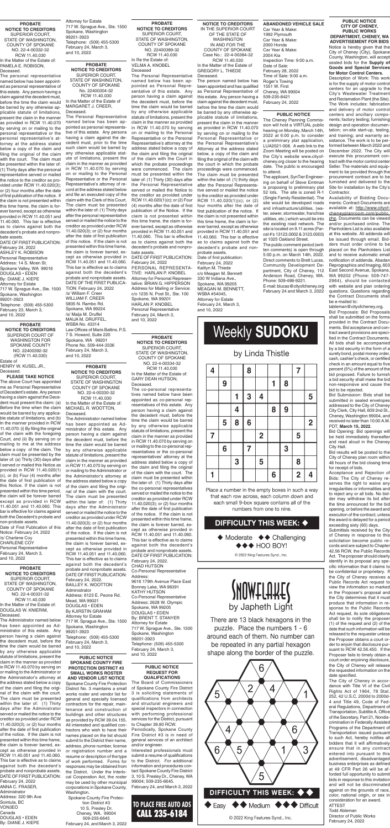# **PUBLIC NOTICE CITY OF CHENEY, PUBLIC WORKS DEPARTMENT, CHENEY, WA ADVERTISEMENT FOR BIDS** Notice is hereby given that the City of Cheney (City), Spokane County, Washington, will accept sealed bids for the **Supply of Goods and Special Services**

**for Motor Control Centers.** Description of Work: This work is for the supply of motor control centers for an upgrade to the City's Wastewater Treatment and Reclamation Plant (the Site). The Work includes: fabrication and delivery of motor control centers and ancillary components; factory testing; furnishing design and operation documentation; on-site start-up, testing, and training; and warranty assistance. The work is to be performed between March 2022 and December 2022. The City will execute this procurement contract with the motor control center Seller. The materials and equipment to be provided through the procurement contract are to be furnished and delivered to the Site for installation by the City's Contractor.

Availability of Bidding Documents: Contract Documents are available at: http://www.cityofcheneyplanroom.com/public. php. Documents can be viewed and/or purchased online. The Planholders List is also available at this website. All addenda will be issued through email. Bidders must order online to be placed on the Planholders List and to receive automatic email notification of addenda. Abadan Reprographics and Imaging, 603 East Second Avenue, Spokane, WA 99202 (Phone: 509-747- 2964), should be contacted with website and plan ordering questions. Questions regarding the Contract Documents shall be e-mailed to:

tableman@cityofcheney.org. Bid Proposals: Bid Proposals shall be submitted on the forms provided in the Contract Documents. Bid acceptance and contract award provisions are specified in the Contract Documents. All bids shall be accompanied by a bid security in the form of a surety bond, postal money order, cash, cashier's check, or certified check in an amount equal to five percent (5%) of the amount of the bid proposed. Failure to furnish a bid security shall make the bid non-responsive and cause the bid to be rejected.

Bid Submission: Bids shall be submitted in sealed envelopes addressed to the City of Cheney City Clerk, City Hall, 609 2nd St., Cheney, Washington 99004, and received no later than 10:00 A.M. PDT, **March 15, 2022**.

**PROBATE NOTIC** SUP **STATE COUN** NO. RCW 11.40.030 In the Ma **GARY DE** 

> Bid Opening: Bid openings will be held immediately thereafter and read aloud in the Cheney City Hall.

Deceased The co-personal representatives named below have been appointed as co-personal rep-

> Bid results will be posted to the City of Cheney plan room within 48 hours of the bid closing time for receipt of bids.

> Acceptance and Rejection of Bids: The City of Cheney reserves the right to waive any irregularities or informalities and to reject any or all bids. No bidder may withdraw its bid after the time announced for the bid opening, or before the award and execution of the contract, unless the award is delayed for a period exceeding sixty (60) days. Submittals received by the City of Cheney in response to this solicitation become public records and are subject to Chapter 42.56 RCW, the Public Records Act. The proposer should clearly identify in its proposal any specific information that it claims to be confidential or proprietary. If the City of Cheney receives a Public Records Act request to view the information so marked in the Proposer's proposal and the City determines that it must produce that information in response to the Public Records Act request, its sole obligations shall be to notify the proposer (1) of the request and (2) of the date that such information will be released to the requester unless the Proposer obtains a court order to enjoin that disclosure pursuant to RCW 42.56.450. If the Proposer fails to timely obtain a court order enjoining disclosure, the City of Cheney will release the requested information on the date specified. The City of Cheney in accordance with Title VI of the Civil Rights Act of 1964, 78 Stat. 252, 42 U.S.C. 2000d to 2000d-4 and Title 49, Code of Federal Regulations, Department of Transportation, Subtitle A, Office of the Secretary, Part 21, Nondiscrimination in Federally Assisted Programs of the Department of Transportation issued pursuant to such Act, hereby notifies all bidders that it will affirmatively ensure that in any contract entered into pursuant to this advertisement, disadvantaged business enterprises as defined at 49 CFR Part 26 will be afforded full opportunity to submit bids in response to this invitation and will not be discriminated against on the grounds of race, color, national origin, or sex in consideration for an award. ATTEST Todd Ableman Director of Public Works February 24, 2022

| <b>PROBATE</b>         |
|------------------------|
| <b>E TO CREDITORS:</b> |
| PERIOR COURT,          |
| OF WASHINGTON,         |
| <b>JTY OF SPOKANE</b>  |
| . 22-4-00334-32        |
| CW 11.40.030           |
| tter of the Estate of: |
| EAN HUTSON,            |
|                        |

resentatives of this estate. Any person having a claim against the decedent must, before the time the claim would be barred by any otherwise applicable statute of limitations, present the claim in the manner as provided in RCW 11.40.070 by serving on or mailing to the co-personal representatives or the co-personal representatives' attorney at the address stated below a copy of the claim and filing the original of the claim with the court. The claim must be presented within the later of: (1) Thirty days after the co-personal representatives served or mailed the notice to the creditor as provided under RCW 11.40.020(3); or (2) four months after the date of first publication of the notice. If the claim is not presented within this time frame, the claim is forever barred, except as otherwise provided in RCW 11.40.051 and 11.40.060. This bar is effective as to claims against both the decedent's probate and nonprobate assets. DATE OF FIRST PUBLICATION: February 24, 2022. CHAD HUTSON Co-Personal Representative Address: 9616 179th Avenue Place East Bonney Lake, WA 98391 KATHY HUTSON Co-Personal Representative Address: 2628 W. Olympic Spokane, WA 99205 DOUGLAS • EDEN By: BRENT T. STANYER Attorney for Estate 717 W. Sprague Ave., Ste. 1500 Spokane, Washington 99201-3923 Telephone: (509) 455-5300 February 24, March 3, and 10, 2022

**PROBATE NOTICE TO CREDITORS** SUPERIOR COURT, STATE OF WASHINGTON COUNTY OF SPOKANE NO. 22-4-00330-32 RCW 11.40.030 In the Matter of the Estate of: MICHAEL R. WOOTTON,

Deceased. The Administrator named below has been appointed as Administrator of this estate. Any person having a claim against the decedent must, before the time the claim would be barred by any otherwise applicable statute of limitations, present the claim in the manner as provided in RCW 11.40.070 by serving on or mailing to the Administrator or the Administrator's attorney at the address stated below a copy claim and filing the o nal of the claim with the court. The claim must be presented within the later of: (1) Thirty days after the Administrator served or mailed the notice to the creditor as provided under RCW 11.40.020(3); or (2) four months after the date of first publication of the notice. If the claim is not presented within this time frame, the claim is forever barred, except as otherwise provided in RCW 11.40.051 and 11.40.060. This bar is effective as to claims against both the decedent's probate and nonprobate assets. DATE OF FIRST PUBLICATION: February 24, 2022. BAILLEY K. WOOTTON Administrator Address: 6123 E. Peone Rd. Mead, WA 99021 DOUGLAS • EDEN By KJIRSTIN GRAHAM Attorney for Estate 717 W. Sprague Ave., Ste. 1500 Spokane, Washington 99201-3923 Telephone: (509) 455-5300 February 24, March 3, and 10, 2022

Spokane County Fire Protection District No. 3 maintains a small works roster and vendor list for general and specialty licensed contractors for the repair, maintenance and construction of buildings and other structures as provided by RCW 39.04.155. All interested and qualified contractors who wish to have their names placed on the list should submit to the District their name, address, phone number, license or registration number and a resume or description of the type of work performed. Forms for responses may be obtained from the District. Under the Interlocal Cooperation Act, the roster may be used by other municipal corporations in Spokane County, Washington.

**PROBATE NOTICE TO CREDITORS** SUPERIOR COURT, STATE OF WASHINGTON, COUNTY OF SPOKANE NO. 22-4-00331-32 RCW 11.40.030 In the Matter of the Estate of: DOUGLAS W. KNIERIM, Deceased.

The Administrator named below has been appointed as Administrator of this estate. Any person having a claim against the decedent must, before the time the claim would be barred by any otherwise applicable statute of limitations, present the claim in the manner as provided in RCW 11.40.070 by serving on or mailing to the Administrator or the Administrator's attorney at the address stated below a copy of the claim and filing the original of the claim with the court. The claim must be presented within the later of: (1) Thirty days after the Administrator served or mailed the notice to the creditor as provided under RCW 11.40.020(3); or (2) four months after the date of first publication of the notice. If the claim is not presented within this time frame, the claim is forever barred, except as otherwise provided in RCW 11.40.051 and 11.40.060. This bar is effective as to claims against both the decedent's probate and nonprobate assets. DATE OF FIRST PUBLICATION: February 24, 2022 ANNA C. FRASER, Administrator Address: 320 9th Ave Sointula, BC VON3EO Canada

DOUGLAS • EDEN By: DIANE J. KIEPE

**PROBATE NOTICE TO CREDITORS** SUPERIOR COURT, STATE OF WASHINGTON, COUNTY OF SPOKANE No. 22400304-32 RCW 11.40.030 In the Matter of the Estate of MARGARET J. CREER,

Deceased. The Personal Representative named below has been appointed as personal representative of this estate. Any persons having a claim against the decedent must, prior to the time such claim would be barred by any otherwise applicable statute of limitations, present the claim in the manner as provided in RCW 11.40.070 by serving on or mailing to the Personal Representative or the Personal Representative's attorney of record at the address stated below and file an executed copy of the claim with the Clerk of this Court. The claim must be presented within the later of: (1) Thirty days after the personal representative served or mailed the notice to the creditor as provided under RCW 11.40.020(3); or (2) four months after the date of first publication of this notice. If the claim is not presented within this time frame, the claim is forever barred, except as otherwise provided in RCW 11.40.051 and 11.40.060. This bar is effective as to claims against both the decedent's probate and nonprobate assets. DATE OF THE FIRST PUBLICA-TION: February 24, 2022 /s/ William F. Creer WILLIAM F. CREER 5805 N. Rambo Rd. Spokane, WA 99224 /s/ Maija M. Druffel MAIJA M. DRUFFEL, WSBA No. 43314 Law Offices of Maris Baltins, P.S. 7 S. Howard, Suite 220 Spokane, WA 99201 Phone No. 509-444-3336 February 24, March 3, and 10, 2022

### **PROBATE NOTICE TO CREDITORS** SUPERIOR COURT, STATE OF WASHINGTON, COUNTY OF SPOKANE NO. 22-4-00332-32 RCW 11.40.030 In the Matter of the Estate of: PAMELA E. ROBISON. Deceased.

The personal representative named below has been appointed as personal representative of this estate. Any person having a claim against the decedent must, before the time the claim would be barred by any otherwise applicable statute of limitations, present the claim in the manner as provided in RCW 11.40.070 by serving on or mailing to the personal representative or the personal representative's attorney at the address stated below a copy of the claim and filing the original of the claim with the court. The claim must be presented within the later of: (1) Thirty days after the personal representative served or mailed the notice to the creditor as provided under RCW 11.40.020(3); or (2) four months after the date of first publication of the notice. If the claim is not presented within this time frame, the claim is forever barred, except as otherwise provided in RCW 11.40.051 and 11.40.060. This bar is effective as to claims against both the decedent's probate and nonprobate assets.

DATE OF FIRST PUBLICATION: February 24, 2022 ASHLEY K. ROBISON Personal Representative Address: 14 S. Moen St. Spokane Valley, WA 99016 DOUGLAS • EDEN By: DIANE J. KIEPE Attorney for Estate 717 W. Sprague Ave., Ste. 1500 Snokane, Washington 99201-3923 Telephone: (509) 455-5300 February 23, March 3, and 10, 2022

**NOTICE TO CREDITORS** IN THE SUPERIOR COURT OF THE STATE OF WASHINGTON IN AND FOR THE

COUNTY OF SPOKANE Case No.: 22-4-00384-32 RCW 11.40.030 In the Matter of the Estate of GREGORY L. THIEDE Deceased.

The person named below has been appointed and has qualified as Personal Representative of this estate. Any person having a claim against the decedent must, before the time the claim would be barred by any otherwise applicable statute of limitations, present the claim in the manner as provided in RCW 11.40.070 by serving on or mailing to the Personal Representative or the Personal Representative's Attorney at the address stated below, a copy of the claim and filing the original of the claim with the court in which the probate proceedings were commenced. The claim must be presented within the later of: (1) thirty days after the Personal Representative served or mailed the notice to the creditor as provided under RCW 11.40.020(1)(c); or (2) four months after the date of first publication of the notice. If the claim is not presented within this time frame, the claim is forever barred, except as otherwise provided in RCW 11.40.051 and 11.40.060. This bar is effective as to claims against both the decedent's probate and nonprobate assets. Date of first publication: February 24, 2022

Kaitlyn M. Thiede c/o Meagan M. Bennett 330 W Indiana Ave., Spokane, WA 99205 MEAGAN M. BENNETT, WSBA #54045, Attorney for Estate February 24, March 3, and 10, 2022

9

5

6

 $\overline{\mathbf{7}}$ 

1

1

 $\overline{\mathbf{4}}$ 

8

3

**PROBATE NOTICE TO CREDITORS** SUPERIOR COURT, STATE OF WASHINGTON, COUNTY OF SPOKANE NO. 22400389-32 RCW 11.40.030 In Re the Estate of: VELMA A. KNOBEL Deceased

The Personal Representative named below has been appointed as Personal Representative of this estate. Any person having a claim against the decedent must, before the time the claim would be barred by any otherwise applicable statute of limitations, present the claim in the manner as provided in RCW 11.40.070 by serving on or mailing to the Personal Representative or the Personal Representative's attorney at the address stated below a copy of the claim and filing the original of the claim with the Court in which the probate proceedings were commenced. The claim must be presented within the later of: (1) Thirty (30) days after the Personal Representative served or mailed the Notice to the creditor as provided under RCW 11.40.020(1)(c); or (2) Four (4) months after the date of first publication of the Notice. If the claim is not presented within this time frame, the claim is forever barred, except as otherwise provided in RCW 11.40.051 and 11.40.060. This bar is effective as to claims against both the decedent's probate and nonprobate assets.

DATE OF FIRST PUBLICATION: February 24, 2022 PERSONAL REPRESENTA-TIVE: HARLAN P. KNOBEL Attorney for Personal Representative: BRIAN G. HIPPERSON Address for Mailing or Service: c/o 1235 N. Post St., Ste. 100 Spokane, WA 99201 HARLAN P. KNOBEL Personal Representative February 24, March 3, and 10, 2022

## **PUBLIC NOTICE SPOKANE COUNTY FIRE PROTECTION DISTRICT #3 SMALL WORKS ROSTER AND VENDOR LIST NOTICE**

Spokane County Fire Protection District #3 10 S. Presley Dr. Cheney, WA. 99004 509-235-6645 February 24, and March 3, 2022

#### **PUBLIC NOTICE REQUEST FOR QUALIFICATIONS**

The Board of Commissioners of Spokane County Fire District 3 is soliciting statements of qualifications from architects and structural engineers and special inspectors in connection with performing professional services for the District, pursuant to Chapter 39.80 RCW.

Periodically, Spokane County Fire District #3 is in need of general services of an architect and/or engineer.

Interested professionals must submit a resume of qualifications to the District. For additional information and procedures contact Spokane County Fire District 3, 10 S. Presley Dr., Cheney, WA 99004; 509-235-6645.

February 24, and March 3, 2022

**PROBATE NOTICE TO CREDITORS** SUPERIOR COURT OF WASHINGTON FOR SPOKANE COUNTY NO. 22400392-32 (RCW 11.40.030) Estate of

HENRY W. KUSEL JR., Deceased.

**PLEASE TAKE NOTICE**

The above Court has appointed me as Personal Representative of Decedent's estate. Any person having a claim against the Decedent must present the claim: (a) Before the time when the claim would be barred by any applicable statute of limitations, and (b) In the manner provided in RCW 11.40.070: (i) By filing the original of the claim with the foregoing Court, and (ii) By serving on or mailing to me at the address below a copy of the claim. The claim must be presented by the later of: (a) Thirty (30) days after I served or mailed this Notice as provided in RCW 11.40.020(1) (c), or (b) Four (4) months after the date of first publication of this Notice. If the claim is not presented within this time period, the claim will be forever barred except as provided in RCW 11.40.051 and 11.40.060. This bar is effective for claims against both the Decedent's probate and non-probate assets. Date of First Publication of this Notice: February 24, 2022 /s/ Charlene Coy CHARLENE COY Personal Representative February 24, March 3, and 10, 2022

### **ABANDONED VEHICLE SALE** Car Year & Make: 1992 Plymouth

Car Year & Make: 2000 Honda Car Year & Make: 2004 Kia Inspection Time: 9:00 a.m. Date of Sale: February 28, 2022 Time of Sale: 9:00 a.m. Roger's Towing 1551 W. First Cheney, WA 99004 509-235-8421 February 24, 2022

# **PUBLIC NOTICE**

The Cheney Planning Commission will hold a VIRTUAL public hearing on Monday, March 14th, 2022 at 6:00 p.m. to consider a preliminary plat application, LUA2021-008. A web link to the Zoom Meeting will be posted on the City's website www.cityofcheney.org closer to the hearing date. The public is encouraged to attend.

The applicant, SynTier Engineering on behalf of Steve Emtman is proposing to preliminary plat 52 lots. The site is zoned R-1 (Single Family Residential). The site would be developed roads and infrastructure/utilities, (water, sewer, stormwater, franchise utilities, etc.) which would tie into the existing road network. The site is located on 9.11 acres (Parcel #'s 13123.0002 & 3123.0003) at 1025 Oakland Street.

The public comment period (written comments) is open through 5:00 p.m. on March 14th, 2022. Direct comments to Brett Lucas, Community Development Department, City of Cheney, 112 Anderson Road, Cheney, WA. Phone: 509-498-9221. E-mail: blucas@cityofcheney.org

February 24 and March 3, 2022

 $\overline{7}$ 

5

8

 $\overline{2}$ 

5

 $\overline{2}$ 

4

Attorney for Estate 717 W. Sprague Ave., Ste. 1500 Spokane, Washington 99201-3923 Telephone: (509) 455-5300 February 24, March 3, and 10, 2022

> **TO PLACE FREE AUTO ADS** CALL 235-6184

Place a number in the empty boxes in such a way that each row across, each column down and each small 9-box square contains all of the numbers from one to nine.

**Weekly SUDOKU** 

by Linda Thistle

4

 $\overline{2}$ 

5

1

8

6

8

9

3

8

3

6

 $\overline{7}$ 

# **DIFFICULTY THIS WEEK: ♦**

 $\blacklozenge$  Moderate  $\blacklozenge \blacklozenge$  Challenging  $\leftrightarrow \leftrightarrow$  HOO BOY!

© 2022 King Features Synd., Inc.



There are 13 black hexagons in the puzzle. Place the numbers 1 - 6 around each of them. No number can be repeated in any partial hexagon shape along the border of the puzzle.